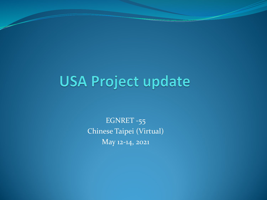# **USA Project update**

EGNRET -55 Chinese Taipei (Virtual) May 12-14, 2021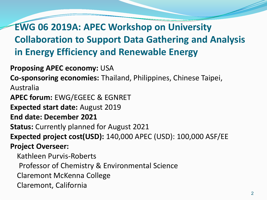**EWG 06 2019A: APEC Workshop on University Collaboration to Support Data Gathering and Analysis in Energy Efficiency and Renewable Energy**

**Proposing APEC economy:** USA **Co-sponsoring economies:** Thailand, Philippines, Chinese Taipei, Australia **APEC forum:** EWG/EGEEC & EGNRET **Expected start date:** August 2019 **End date: December 2021 Status:** Currently planned for August 2021 **Expected project cost(USD):** 140,000 APEC (USD): 100,000 ASF/EE **Project Overseer:** Kathleen Purvis-Roberts Professor of Chemistry & Environmental Science Claremont McKenna College

Claremont, California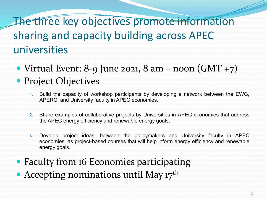## The three key objectives promote information sharing and capacity building across APEC universities

• Virtual Event: 8-9 June 2021, 8 am – noon  $(GMT + 7)$ 

#### • Project Objectives

- 1. Build the capacity of workshop participants by developing a network between the EWG, APERC, and University faculty in APEC economies.
- 2. Share examples of collaborative projects by Universities in APEC economies that address the APEC energy efficiency and renewable energy goals.
- 3. Develop project ideas, between the policymakers and University faculty in APEC economies, as project-based courses that will help inform energy efficiency and renewable energy goals.
- Faculty from 16 Economies participating
- Accepting nominations until May  $17<sup>th</sup>$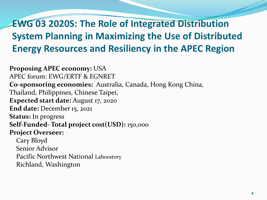#### **EWG 03 2020S: The Role of Integrated Distribution System Planning in Maximizing the Use of Distributed Energy Resources and Resiliency in the APEC Region**

**Proposing APEC economy:** USA APEC forum: EWG/ERTF & EGNRET **Co-sponsoring economies:** Australia, Canada, Hong Kong China, Thailand, Philippines, Chinese Taipei, **Expected start date:** August 17, 2020 **End date:** December 15, 2021 **Status:** In progress **Self-Funded- Total project cost(USD):** 150,ooo **Project Overseer:** Cary Bloyd Senior Advisor Pacific Northwest National Laboratory Richland, Washington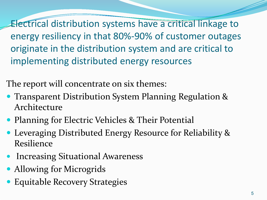Electrical distribution systems have a critical linkage to energy resiliency in that 80%-90% of customer outages originate in the distribution system and are critical to implementing distributed energy resources

The report will concentrate on six themes:

- **Transparent Distribution System Planning Regulation &** Architecture
- Planning for Electric Vehicles & Their Potential
- Leveraging Distributed Energy Resource for Reliability & Resilience
- Increasing Situational Awareness
- Allowing for Microgrids
- Equitable Recovery Strategies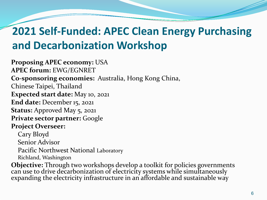## **2021 Self-Funded: APEC Clean Energy Purchasing and Decarbonization Workshop**

**Proposing APEC economy:** USA **APEC forum:** EWG/EGNRET **Co-sponsoring economies:** Australia, Hong Kong China, Chinese Taipei, Thailand **Expected start date:** May 10, 2021 **End date:** December 15, 2021 **Status:** Approved May 5, 2021 **Private sector partner:** Google **Project Overseer:** Cary Bloyd Senior Advisor Pacific Northwest National Laboratory Richland, Washington

**Objective:** Through two workshops develop a toolkit for policies governments can use to drive decarbonization of electricity systems while simultaneously expanding the electricity infrastructure in an affordable and sustainable way